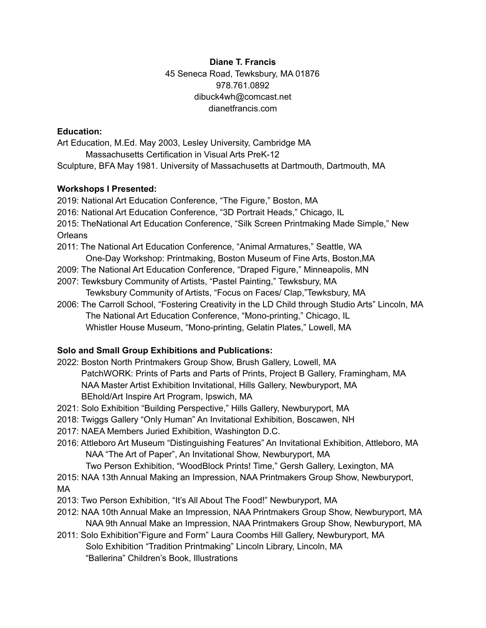**Diane T. Francis** 45 Seneca Road, Tewksbury, MA 01876 978.761.0892 dibuck4wh@comcast.net dianetfrancis.com

### **Education:**

Art Education, M.Ed. May 2003, Lesley University, Cambridge MA Massachusetts Certification in Visual Arts PreK-12 Sculpture, BFA May 1981. University of Massachusetts at Dartmouth, Dartmouth, MA

## **Workshops I Presented:**

2019: National Art Education Conference, "The Figure," Boston, MA 2016: National Art Education Conference, "3D Portrait Heads," Chicago, IL 2015: TheNational Art Education Conference, "Silk Screen Printmaking Made Simple," New Orleans 2011: The National Art Education Conference, "Animal Armatures," Seattle, WA

- One-Day Workshop: Printmaking, Boston Museum of Fine Arts, Boston,MA
- 2009: The National Art Education Conference, "Draped Figure," Minneapolis, MN
- 2007: Tewksbury Community of Artists, "Pastel Painting," Tewksbury, MA Tewksbury Community of Artists, "Focus on Faces/ Clap,"Tewksbury, MA
- 2006: The Carroll School, "Fostering Creativity in the LD Child through Studio Arts" Lincoln, MA The National Art Education Conference, "Mono-printing," Chicago, IL Whistler House Museum, "Mono-printing, Gelatin Plates," Lowell, MA

## **Solo and Small Group Exhibitions and Publications:**

- 2022: Boston North Printmakers Group Show, Brush Gallery, Lowell, MA PatchWORK: Prints of Parts and Parts of Prints, Project B Gallery, Framingham, MA NAA Master Artist Exhibition Invitational, Hills Gallery, Newburyport, MA BEhold/Art Inspire Art Program, Ipswich, MA
- 2021: Solo Exhibition "Building Perspective," Hills Gallery, Newburyport, MA
- 2018: Twiggs Gallery "Only Human" An Invitational Exhibition, Boscawen, NH
- 2017: NAEA Members Juried Exhibition, Washington D.C.
- 2016: Attleboro Art Museum "Distinguishing Features" An Invitational Exhibition, Attleboro, MA NAA "The Art of Paper", An Invitational Show, Newburyport, MA
	- Two Person Exhibition, "WoodBlock Prints! Time," Gersh Gallery, Lexington, MA
- 2015: NAA 13th Annual Making an Impression, NAA Printmakers Group Show, Newburyport, MA
- 2013: Two Person Exhibition, "It's All About The Food!" Newburyport, MA
- 2012: NAA 10th Annual Make an Impression, NAA Printmakers Group Show, Newburyport, MA NAA 9th Annual Make an Impression, NAA Printmakers Group Show, Newburyport, MA
- 2011: Solo Exhibition"Figure and Form" Laura Coombs Hill Gallery, Newburyport, MA Solo Exhibition "Tradition Printmaking" Lincoln Library, Lincoln, MA "Ballerina" Children's Book, Illustrations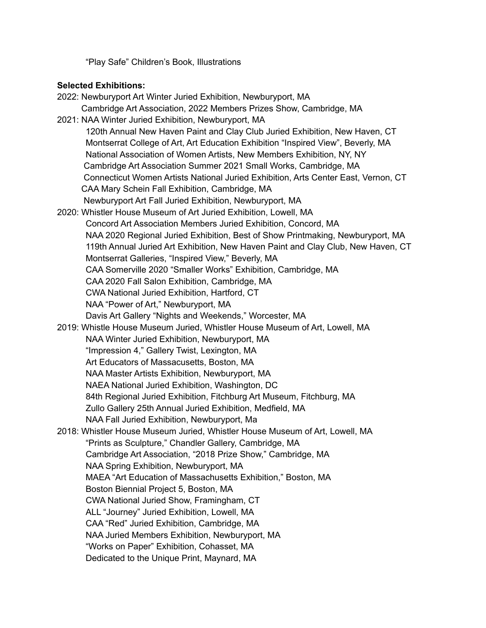"Play Safe" Children's Book, Illustrations

# **Selected Exhibitions:**

| 2022: Newburyport Art Winter Juried Exhibition, Newburyport, MA                    |
|------------------------------------------------------------------------------------|
| Cambridge Art Association, 2022 Members Prizes Show, Cambridge, MA                 |
| 2021: NAA Winter Juried Exhibition, Newburyport, MA                                |
| 120th Annual New Haven Paint and Clay Club Juried Exhibition, New Haven, CT        |
| Montserrat College of Art, Art Education Exhibition "Inspired View", Beverly, MA   |
| National Association of Women Artists, New Members Exhibition, NY, NY              |
| Cambridge Art Association Summer 2021 Small Works, Cambridge, MA                   |
| Connecticut Women Artists National Juried Exhibition, Arts Center East, Vernon, CT |
| CAA Mary Schein Fall Exhibition, Cambridge, MA                                     |
| Newburyport Art Fall Juried Exhibition, Newburyport, MA                            |
| 2020: Whistler House Museum of Art Juried Exhibition, Lowell, MA                   |
| Concord Art Association Members Juried Exhibition, Concord, MA                     |
| NAA 2020 Regional Juried Exhibition, Best of Show Printmaking, Newburyport, MA     |
| 119th Annual Juried Art Exhibition, New Haven Paint and Clay Club, New Haven, CT   |
| Montserrat Galleries, "Inspired View," Beverly, MA                                 |
| CAA Somerville 2020 "Smaller Works" Exhibition, Cambridge, MA                      |
| CAA 2020 Fall Salon Exhibition, Cambridge, MA                                      |
| CWA National Juried Exhibition, Hartford, CT                                       |
| NAA "Power of Art," Newburyport, MA                                                |
| Davis Art Gallery "Nights and Weekends," Worcester, MA                             |
| 2019: Whistle House Museum Juried, Whistler House Museum of Art, Lowell, MA        |
| NAA Winter Juried Exhibition, Newburyport, MA                                      |
| "Impression 4," Gallery Twist, Lexington, MA                                       |
| Art Educators of Massacusetts, Boston, MA                                          |
| NAA Master Artists Exhibition, Newburyport, MA                                     |
| NAEA National Juried Exhibition, Washington, DC                                    |
| 84th Regional Juried Exhibition, Fitchburg Art Museum, Fitchburg, MA               |
| Zullo Gallery 25th Annual Juried Exhibition, Medfield, MA                          |
| NAA Fall Juried Exhibition, Newburyport, Ma                                        |
| 2018: Whistler House Museum Juried, Whistler House Museum of Art, Lowell, MA       |
| "Prints as Sculpture," Chandler Gallery, Cambridge, MA                             |
| Cambridge Art Association, "2018 Prize Show," Cambridge, MA                        |
| NAA Spring Exhibition, Newburyport, MA                                             |
| MAEA "Art Education of Massachusetts Exhibition," Boston, MA                       |
| Boston Biennial Project 5, Boston, MA                                              |
| CWA National Juried Show, Framingham, CT                                           |
| ALL "Journey" Juried Exhibition, Lowell, MA                                        |
| CAA "Red" Juried Exhibition, Cambridge, MA                                         |
| NAA Juried Members Exhibition, Newburyport, MA                                     |
| "Works on Paper" Exhibition, Cohasset, MA                                          |
| Dedicated to the Unique Print, Maynard, MA                                         |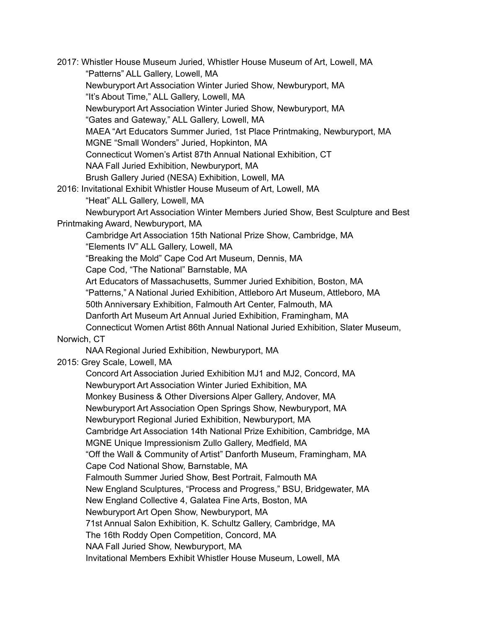2017: Whistler House Museum Juried, Whistler House Museum of Art, Lowell, MA "Patterns" ALL Gallery, Lowell, MA Newburyport Art Association Winter Juried Show, Newburyport, MA "It's About Time," ALL Gallery, Lowell, MA Newburyport Art Association Winter Juried Show, Newburyport, MA "Gates and Gateway," ALL Gallery, Lowell, MA MAEA "Art Educators Summer Juried, 1st Place Printmaking, Newburyport, MA MGNE "Small Wonders" Juried, Hopkinton, MA Connecticut Women's Artist 87th Annual National Exhibition, CT NAA Fall Juried Exhibition, Newburyport, MA Brush Gallery Juried (NESA) Exhibition, Lowell, MA 2016: Invitational Exhibit Whistler House Museum of Art, Lowell, MA "Heat" ALL Gallery, Lowell, MA Newburyport Art Association Winter Members Juried Show, Best Sculpture and Best Printmaking Award, Newburyport, MA Cambridge Art Association 15th National Prize Show, Cambridge, MA "Elements IV" ALL Gallery, Lowell, MA "Breaking the Mold" Cape Cod Art Museum, Dennis, MA Cape Cod, "The National" Barnstable, MA Art Educators of Massachusetts, Summer Juried Exhibition, Boston, MA "Patterns," A National Juried Exhibition, Attleboro Art Museum, Attleboro, MA 50th Anniversary Exhibition, Falmouth Art Center, Falmouth, MA Danforth Art Museum Art Annual Juried Exhibition, Framingham, MA Connecticut Women Artist 86th Annual National Juried Exhibition, Slater Museum, Norwich, CT NAA Regional Juried Exhibition, Newburyport, MA 2015: Grey Scale, Lowell, MA Concord Art Association Juried Exhibition MJ1 and MJ2, Concord, MA Newburyport Art Association Winter Juried Exhibition, MA Monkey Business & Other Diversions Alper Gallery, Andover, MA Newburyport Art Association Open Springs Show, Newburyport, MA Newburyport Regional Juried Exhibition, Newburyport, MA Cambridge Art Association 14th National Prize Exhibition, Cambridge, MA MGNE Unique Impressionism Zullo Gallery, Medfield, MA "Off the Wall & Community of Artist" Danforth Museum, Framingham, MA Cape Cod National Show, Barnstable, MA Falmouth Summer Juried Show, Best Portrait, Falmouth MA New England Sculptures, "Process and Progress," BSU, Bridgewater, MA New England Collective 4, Galatea Fine Arts, Boston, MA Newburyport Art Open Show, Newburyport, MA 71st Annual Salon Exhibition, K. Schultz Gallery, Cambridge, MA The 16th Roddy Open Competition, Concord, MA NAA Fall Juried Show, Newburyport, MA Invitational Members Exhibit Whistler House Museum, Lowell, MA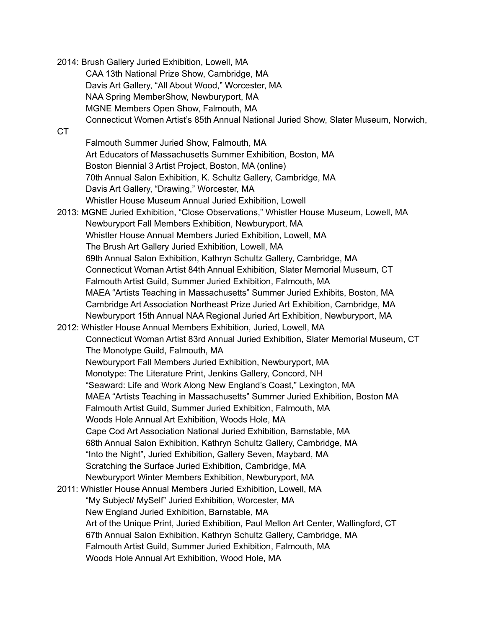2014: Brush Gallery Juried Exhibition, Lowell, MA CAA 13th National Prize Show, Cambridge, MA Davis Art Gallery, "All About Wood," Worcester, MA NAA Spring MemberShow, Newburyport, MA MGNE Members Open Show, Falmouth, MA Connecticut Women Artist's 85th Annual National Juried Show, Slater Museum, Norwich, CT Falmouth Summer Juried Show, Falmouth, MA Art Educators of Massachusetts Summer Exhibition, Boston, MA Boston Biennial 3 Artist Project, Boston, MA (online) 70th Annual Salon Exhibition, K. Schultz Gallery, Cambridge, MA Davis Art Gallery, "Drawing," Worcester, MA Whistler House Museum Annual Juried Exhibition, Lowell 2013: MGNE Juried Exhibition, "Close Observations," Whistler House Museum, Lowell, MA Newburyport Fall Members Exhibition, Newburyport, MA Whistler House Annual Members Juried Exhibition, Lowell, MA The Brush Art Gallery Juried Exhibition, Lowell, MA 69th Annual Salon Exhibition, Kathryn Schultz Gallery, Cambridge, MA Connecticut Woman Artist 84th Annual Exhibition, Slater Memorial Museum, CT Falmouth Artist Guild, Summer Juried Exhibition, Falmouth, MA MAEA "Artists Teaching in Massachusetts" Summer Juried Exhibits, Boston, MA Cambridge Art Association Northeast Prize Juried Art Exhibition, Cambridge, MA Newburyport 15th Annual NAA Regional Juried Art Exhibition, Newburyport, MA 2012: Whistler House Annual Members Exhibition, Juried, Lowell, MA Connecticut Woman Artist 83rd Annual Juried Exhibition, Slater Memorial Museum, CT The Monotype Guild, Falmouth, MA Newburyport Fall Members Juried Exhibition, Newburyport, MA Monotype: The Literature Print, Jenkins Gallery, Concord, NH "Seaward: Life and Work Along New England's Coast," Lexington, MA MAEA "Artists Teaching in Massachusetts" Summer Juried Exhibition, Boston MA Falmouth Artist Guild, Summer Juried Exhibition, Falmouth, MA Woods Hole Annual Art Exhibition, Woods Hole, MA Cape Cod Art Association National Juried Exhibition, Barnstable, MA 68th Annual Salon Exhibition, Kathryn Schultz Gallery, Cambridge, MA "Into the Night", Juried Exhibition, Gallery Seven, Maybard, MA Scratching the Surface Juried Exhibition, Cambridge, MA Newburyport Winter Members Exhibition, Newburyport, MA 2011: Whistler House Annual Members Juried Exhibition, Lowell, MA "My Subject/ MySelf" Juried Exhibition, Worcester, MA New England Juried Exhibition, Barnstable, MA Art of the Unique Print, Juried Exhibition, Paul Mellon Art Center, Wallingford, CT 67th Annual Salon Exhibition, Kathryn Schultz Gallery, Cambridge, MA Falmouth Artist Guild, Summer Juried Exhibition, Falmouth, MA Woods Hole Annual Art Exhibition, Wood Hole, MA